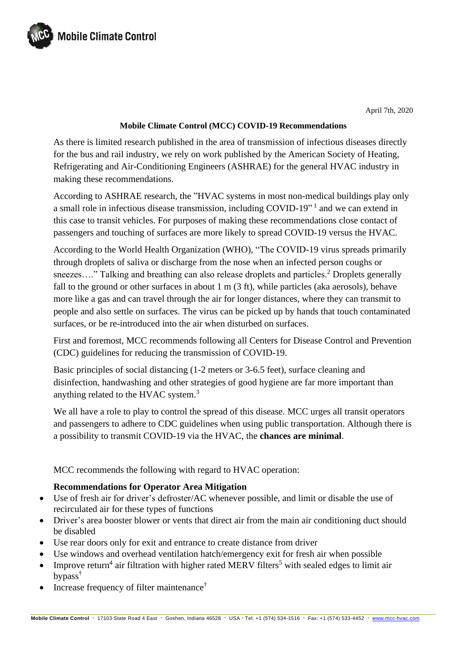

April 7th, 2020

### **Mobile Climate Control (MCC) COVID-19 Recommendations**

As there is limited research published in the area of transmission of infectious diseases directly for the bus and rail industry, we rely on work published by the American Society of Heating, Refrigerating and Air-Conditioning Engineers (ASHRAE) for the general HVAC industry in making these recommendations.

According to ASHRAE research, the "HVAC systems in most non-medical buildings play only a small role in infectious disease transmission, including COVID-19"<sup>1</sup> and we can extend in this case to transit vehicles. For purposes of making these recommendations close contact of passengers and touching of surfaces are more likely to spread COVID-19 versus the HVAC.

According to the World Health Organization (WHO), "The COVID-19 virus spreads primarily through droplets of saliva or discharge from the nose when an infected person coughs or sneezes...." Talking and breathing can also release droplets and particles.<sup>2</sup> Droplets generally fall to the ground or other surfaces in about 1 m (3 ft), while particles (aka aerosols), behave more like a gas and can travel through the air for longer distances, where they can transmit to people and also settle on surfaces. The virus can be picked up by hands that touch contaminated surfaces, or be re-introduced into the air when disturbed on surfaces.

First and foremost, MCC recommends following all Centers for Disease Control and Prevention (CDC) guidelines for reducing the transmission of COVID-19.

Basic principles of social distancing (1-2 meters or 3-6.5 feet), surface cleaning and disinfection, handwashing and other strategies of good hygiene are far more important than anything related to the HVAC system.<sup>3</sup>

We all have a role to play to control the spread of this disease. MCC urges all transit operators and passengers to adhere to CDC guidelines when using public transportation. Although there is a possibility to transmit COVID-19 via the HVAC, the **chances are minimal**.

MCC recommends the following with regard to HVAC operation:

## **Recommendations for Operator Area Mitigation**

- Use of fresh air for driver's defroster/AC whenever possible, and limit or disable the use of recirculated air for these types of functions
- Driver's area booster blower or vents that direct air from the main air conditioning duct should be disabled
- Use rear doors only for exit and entrance to create distance from driver
- Use windows and overhead ventilation hatch/emergency exit for fresh air when possible
- Improve return<sup>4</sup> air filtration with higher rated MERV filters<sup>5</sup> with sealed edges to limit air bypass†
- Increase frequency of filter maintenance<sup>†</sup>